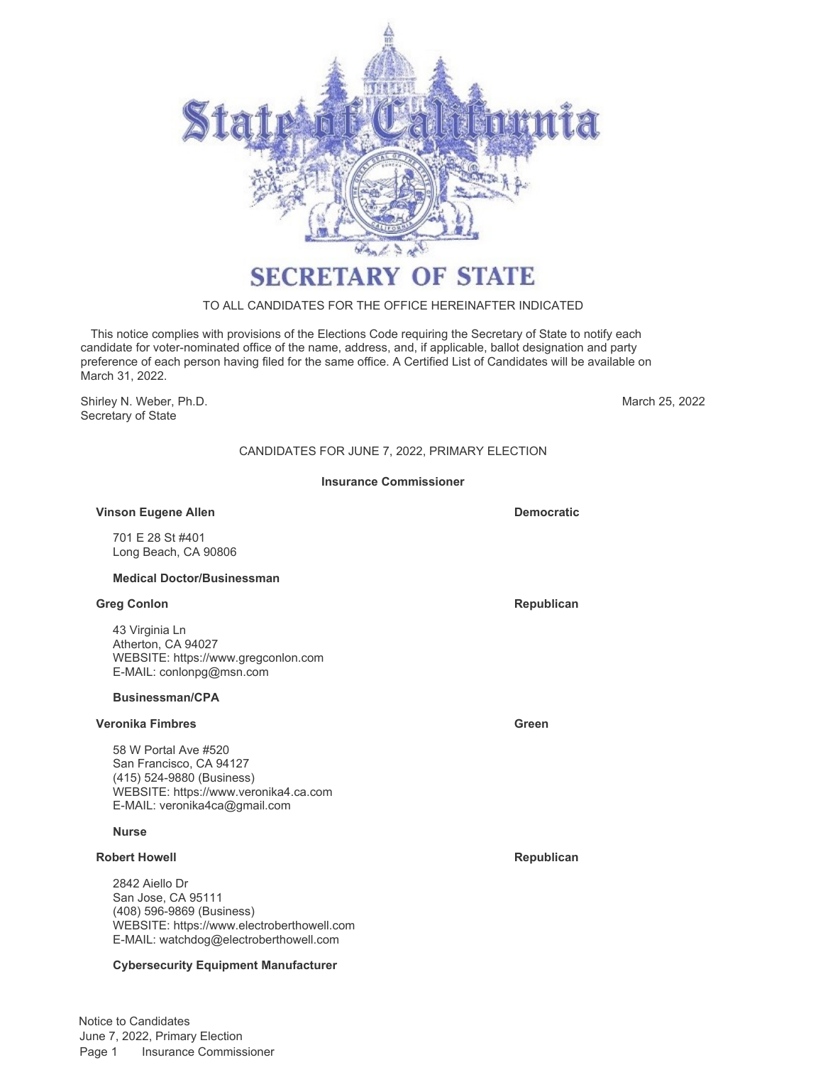

# **SECRETARY OF STATE**

### TO ALL CANDIDATES FOR THE OFFICE HEREINAFTER INDICATED

 This notice complies with provisions of the Elections Code requiring the Secretary of State to notify each candidate for voter-nominated office of the name, address, and, if applicable, ballot designation and party preference of each person having filed for the same office. A Certified List of Candidates will be available on March 31, 2022.

Shirley N. Weber, Ph.D. Secretary of State

March 25, 2022

# CANDIDATES FOR JUNE 7, 2022, PRIMARY ELECTION

#### **Insurance Commissioner**

#### **Vinson Eugene Allen Democratic Democratic**

701 E 28 St #401 Long Beach, CA 90806

#### **Medical Doctor/Businessman**

#### **Greg Conlon Republican**

43 Virginia Ln Atherton, CA 94027 WEBSITE: https://www.gregconlon.com E-MAIL: conlonpg@msn.com

#### **Businessman/CPA**

#### **Veronika Fimbres Green**

58 W Portal Ave #520 San Francisco, CA 94127 (415) 524-9880 (Business) WEBSITE: https://www.veronika4.ca.com E-MAIL: veronika4ca@gmail.com

### **Nurse**

# **Robert Howell Republican**

2842 Aiello Dr San Jose, CA 95111 (408) 596-9869 (Business) WEBSITE: https://www.electroberthowell.com E-MAIL: watchdog@electroberthowell.com

#### **Cybersecurity Equipment Manufacturer**

Notice to Candidates June 7, 2022, Primary Election Page 1 Insurance Commissioner